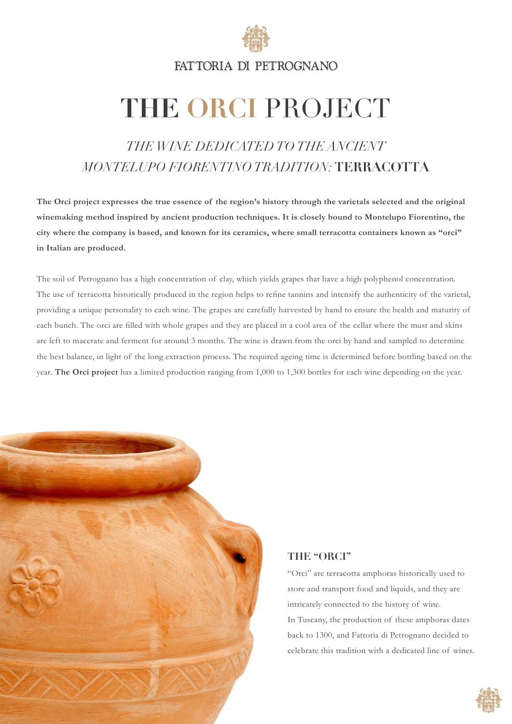

FATTORIA DI PETROGNANO

# **THE ORCI** PROJECT

## *THE WINE DEDICATED TO THE ANCIENT MONTELUPO FIORENTINO TRADITION:* **TERRACOTTA**

**The Orci project expresses the true essence of the region's history through the varietals selected and the original winemaking method inspired by ancient production techniques. It is closely bound to Montelupo Fiorentino, the city where the company is based, and known for its ceramics, where small terracotta containers known as "orci" in Italian are produced.** 

The soil of Petrognano has a high concentration of clay, which yields grapes that have a high polyphenol concentration. The use of terracotta historically produced in the region helps to refine tannins and intensify the authenticity of the varietal, providing a unique personality to each wine. The grapes are carefully harvested by hand to ensure the health and maturity of each bunch. The orci are filled with whole grapes and they are placed in a cool area of the cellar where the must and skins are left to macerate and ferment for around 3 months. The wine is drawn from the orci by hand and sampled to determine the best balance, in light of the long extraction process. The required ageing time is determined before bottling based on the year. **The Orci project** has a limited production ranging from 1,000 to 1,300 bottles for each wine depending on the year.



### **THE "ORCI"**

"Orci" are terracotta amphoras historically used to store and transport food and liquids, and they are intricately connected to the history of wine. In Tuscany, the production of these amphoras dates back to 1300, and Fattoria di Petrognano decided to celebrate this tradition with a dedicated line of wines.

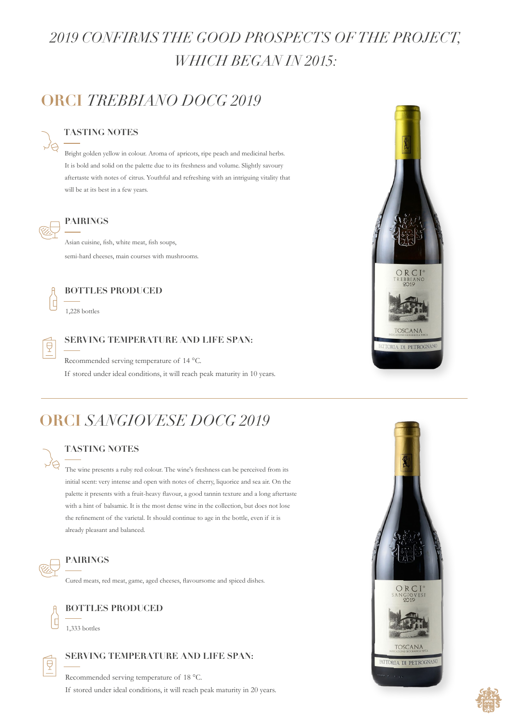## *2019 CONFIRMS THE GOOD PROSPECTS OF THE PROJECT, WHICH BEGAN IN 2015:*

## **ORCI** *TREBBIANO DOCG 2019*

#### **TASTING NOTES**

Bright golden yellow in colour. Aroma of apricots, ripe peach and medicinal herbs. It is bold and solid on the palette due to its freshness and volume. Slightly savoury aftertaste with notes of citrus. Youthful and refreshing with an intriguing vitality that will be at its best in a few years.



#### **PAIRINGS**

Asian cuisine, fish, white meat, fish soups, semi-hard cheeses, main courses with mushrooms.



#### **BOTTLES PRODUCED**

1,228 bottles



#### **SERVING TEMPERATURE AND LIFE SPAN:**

Recommended serving temperature of 14 °C.

If stored under ideal conditions, it will reach peak maturity in 10 years.

## **ORCI** *SANGIOVESE DOCG 2019*

**TASTING NOTES**

The wine presents a ruby red colour. The wine's freshness can be perceived from its initial scent: very intense and open with notes of cherry, liquorice and sea air. On the palette it presents with a fruit-heavy flavour, a good tannin texture and a long aftertaste with a hint of balsamic. It is the most dense wine in the collection, but does not lose the refinement of the varietal. It should continue to age in the bottle, even if it is already pleasant and balanced.



#### **PAIRINGS**

Cured meats, red meat, game, aged cheeses, flavoursome and spiced dishes.



### **BOTTLES PRODUCED**

1,333 bottles



### **SERVING TEMPERATURE AND LIFE SPAN:**

Recommended serving temperature of 18 °C. If stored under ideal conditions, it will reach peak maturity in 20 years.